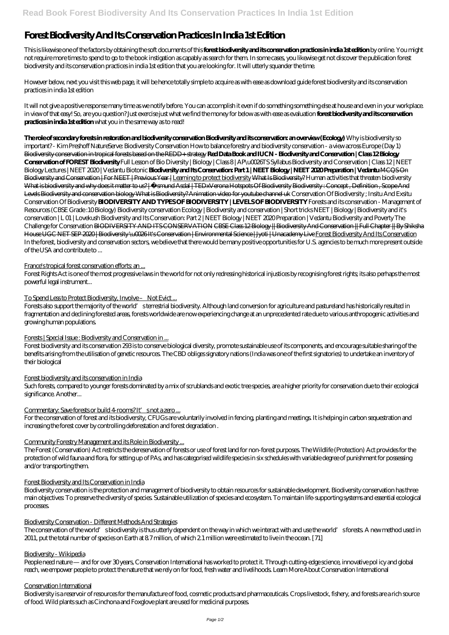# **Forest Biodiversity And Its Conservation Practices In India 1st Edition**

This is likewise one of the factors by obtaining the soft documents of this **forest biodiversity and its conservation practices in india 1st edition** by online. You might not require more times to spend to go to the book instigation as capably as search for them. In some cases, you likewise get not discover the publication forest biodiversity and its conservation practices in india 1st edition that you are looking for. It will utterly squander the time.

However below, next you visit this web page, it will be hence totally simple to acquire as with ease as download guide forest biodiversity and its conservation practices in india 1st edition

It will not give a positive response many time as we notify before. You can accomplish it even if do something something else at house and even in your workplace. in view of that easy! So, are you question? Just exercise just what we find the money for below as with ease as evaluation **forest biodiversity and its conservation practices in india 1st edition** what you in the same way as to read!

Such forests, compared to younger forests dominated by a mix of scrublands and exotic tree species, are a higher priority for conservation due to their ecological significance. Another...

# Commentary: Save forests or build 4 rooms? It's not a zero ...

**The role of secondary forests in restoration and biodiversity conservation Biodiversity and its conservation: an overview (Ecology)** Why is biodiversity so important? - Kim Preshoff NatureServe: Biodiversity Conservation How to balance forestry and biodiversity conservation - a view across Europe (Day 1) Biodiversity conservation in tropical forests based on the REDD+ strategy **Red Data Book and IUCN - Biodiversity and Conservation | Class 12 Biology Conservation of FOREST Biodiversity** *Full Lesson of Bio Diversity | Biology | Class 8 | AP\u0026TS Syllabus Biodiversity and Conservation | Class 12 | NEET Biology Lectures | NEET 2020 | Vedantu Biotonic* **Biodiversity and Its Conservation: Part 1 | NEET Biology | NEET 2020 Preparation | Vedantu** MCQS On Biodiversity and Conservation | For NEET | Previous Year | Learning to protect biodiversity What Is Biodiversity? Human activities that threaten biodiversity What is biodiversity and why does it matter to us? | Å smund Asdal | TEDxVerona Hotspots Of Biodiversity Biodiversity : Concept, Definition, Scope And Levels Biodiversity and conservation biology What is Biodiversity? Animation video for youtube channel uk *Conservation Of Biodiversity ; Insitu And Exsitu Conservation Of Biodiversity* **BIODIVERSITY AND TYPES OF BIODIVERSITY | LEVELS OF BIODIVERSITY** *Forests and its conservation - Management of Resources (CBSE Grade :10 Biology)* Biodiversity conservation Ecology | Biodiversity and conservation | Short tricks NEET | Biology | Biodiversity and it's conservation | L 01 | Lovekush *Biodiversity and Its Conservation: Part 2 | NEET Biology | NEET 2020 Preparation | Vedantu Biodiversity and Poverty The Challenge for Conservation* BIODIVERSITY AND ITS CONSERVATION CBSE Class 12 Biology || Biodiversity And Conservation || Full Chapter || By Shiksha House UGC NET SEP 2020 | Biodiversity \u0026It's Conservation | Environmental Science | Jyoti | Unacademy Live Forest Biodiversity And Its Conservation In the forest, biodiversity and conservation sectors, we believe that there would be many positive opportunities for U.S. agencies to be much more present outside of the USA and contribute to ...

# France's tropical forest conservation efforts: an ...

Forest Rights Act is one of the most progressive laws in the world for not only redressing historical injustices by recognising forest rights; its also perhaps the most powerful legal instrument...

# To Spend Less to Protect Biodiversity, Involve – Not Evict ...

Forests also support the majority of the world's terrestrial biodiversity. Although land conversion for agriculture and pastureland has historically resulted in fragmentation and declining forested areas, forests worldwide are now experiencing change at an unprecedented rate due to various anthropogenic activities and growing human populations.

# Forests | Special Issue : Biodiversity and Conservation in ...

Forest biodiversity and its conservation 293 is to conserve biological diversity, promote sustainable use of its components, and encourage suitable sharing of the benefits arising from the utilisation of genetic resources. The CBD obliges signatory nations (India was one of the first signatories) to undertake an inventory of their biological

# Forest biodiversity and its conservation in India

For the conservation of forest and its biodiversity, CFUGs are voluntarily involved in fencing, planting and meetings. It is helping in carbon sequestration and increasing the forest cover by controlling deforestation and forest degradation .

# Community Forestry Management and its Role in Biodiversity ...

The Forest (Conservation) Act restricts the dereservation of forests or use of forest land for non-forest purposes. The Wildlife (Protection) Act provides for the protection of wild fauna and flora, for setting up of PAs, and has categorised wildlife species in six schedules with variable degree of punishment for possessing and/or transporting them.

#### Forest Biodiversity and Its Conservation in India

Biodiversity conservation is the protection and management of biodiversity to obtain resources for sustainable development. Biodiversity conservation has three main objectives: To preserve the diversity of species. Sustainable utilization of species and ecosystem. To maintain life-supporting systems and essential ecological processes.

# Biodiversity Conservation - Different Methods And Strategies

The conservation of the world's biodiversity is thus utterly dependent on the way in which we interact with and use the world's forests. A new method used in 2011, put the total number of species on Earth at 8.7 million, of which 2.1 million were estimated to live in the ocean. [71]

#### Biodiversity - Wikipedia

People need nature — and for over 30 years, Conservation International has worked to protect it. Through cutting-edge science, innovative pol icy and global reach, we empower people to protect the nature that we rely on for food, fresh water and livelihoods. Learn More About Conservation International

# Conservation International

Biodiversity is a reservoir of resources for the manufacture of food, cosmetic products and pharmaceuticals. Crops livestock, fishery, and forests are a rich source of food. Wild plants such as Cinchona and Foxglove plant are used for medicinal purposes.